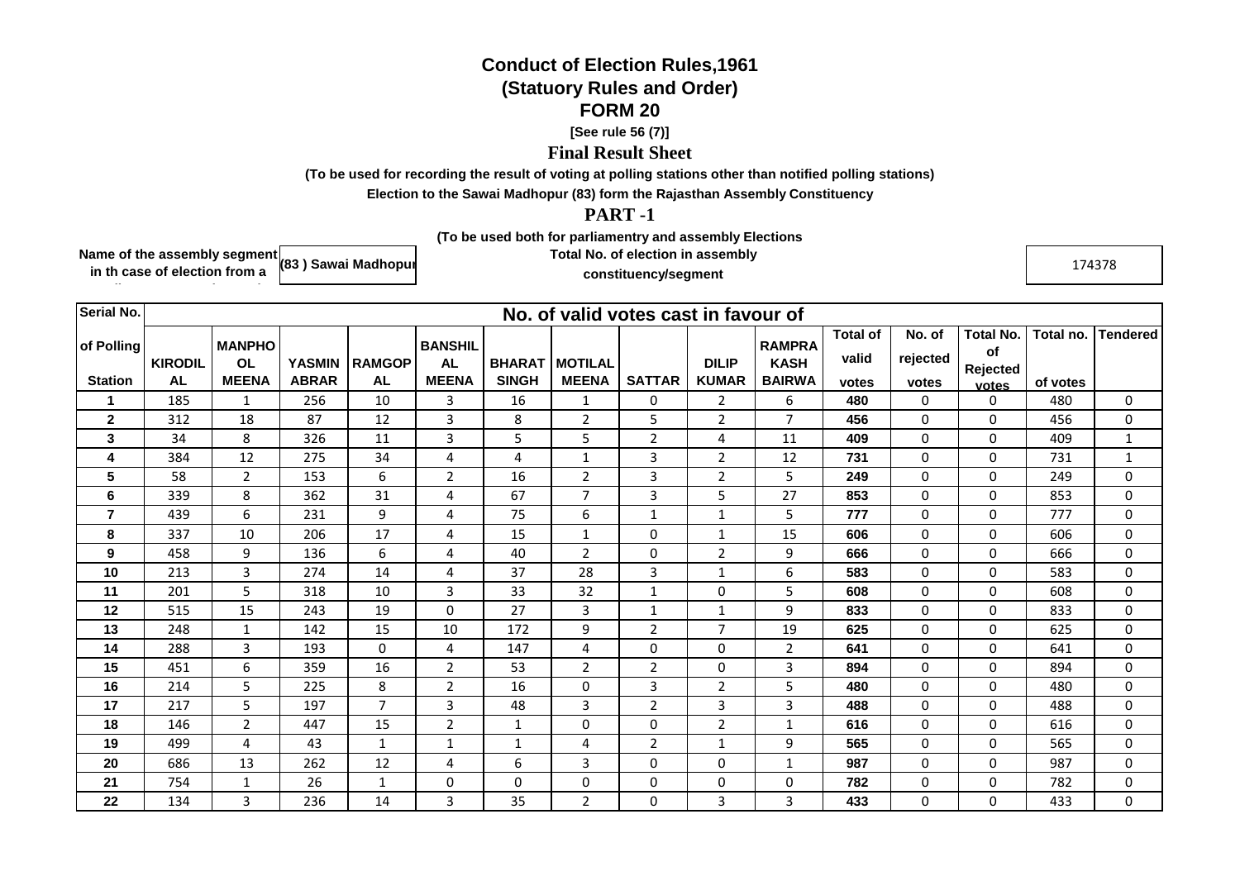## **Conduct of Election Rules,1961(Statuory Rules and Order)FORM 20**

## **[See rule 56 (7)]**

## **Final Result Sheet**

**(To be used for recording the result of voting at polling stations other than notified polling stations)**

**Election to the Sawai Madhopur (83) form the Rajasthan Assembly Constituency**

## **PART -1**

**(To be used both for parliamentry and assembly Elections**

**Name of the assembly segment in th case of election from a (83 ) Sawai Madhopur**

**parliamentry constituency)**

**Total No. of election in assembly constituency/segment**

 $\frac{174378}{ }$ 

| <b>Serial No.</b> |                | No. of valid votes cast in favour of |               |                |                             |               |                  |                |                |                              |                          |                    |                        |           |                 |
|-------------------|----------------|--------------------------------------|---------------|----------------|-----------------------------|---------------|------------------|----------------|----------------|------------------------------|--------------------------|--------------------|------------------------|-----------|-----------------|
| of Polling        | <b>KIRODIL</b> | <b>MANPHO</b><br><b>OL</b>           | <b>YASMIN</b> | <b>RAMGOP</b>  | <b>BANSHIL</b><br><b>AL</b> | <b>BHARAT</b> | <b>I MOTILAL</b> |                | <b>DILIP</b>   | <b>RAMPRA</b><br><b>KASH</b> | <b>Total of</b><br>valid | No. of<br>rejected | <b>Total No.</b><br>of | Total no. | <b>Tendered</b> |
| <b>Station</b>    | <b>AL</b>      | <b>MEENA</b>                         | <b>ABRAR</b>  | AL             | <b>MEENA</b>                | <b>SINGH</b>  | <b>MEENA</b>     | <b>SATTAR</b>  | <b>KUMAR</b>   | <b>BAIRWA</b>                | votes                    | votes              | Rejected<br>votes      | of votes  |                 |
|                   | 185            | 1                                    | 256           | 10             | 3                           | 16            | 1                | 0              | 2              | 6                            | 480                      | 0                  | $\mathbf 0$            | 480       | $\mathbf 0$     |
| $\mathbf{2}$      | 312            | 18                                   | 87            | 12             | 3                           | 8             | $\overline{2}$   | 5              | $\overline{2}$ | $\overline{7}$               | 456                      | $\mathbf 0$        | 0                      | 456       | 0               |
| 3                 | 34             | 8                                    | 326           | 11             | 3                           | 5             | 5                | $\overline{2}$ | 4              | 11                           | 409                      | $\mathbf 0$        | $\mathbf 0$            | 409       | $\mathbf{1}$    |
| 4                 | 384            | 12                                   | 275           | 34             | 4                           | 4             | $\mathbf{1}$     | 3              | 2              | 12                           | 731                      | $\mathbf 0$        | $\mathbf 0$            | 731       | $\mathbf{1}$    |
| 5                 | 58             | $\mathbf{2}$                         | 153           | 6              | $\overline{2}$              | 16            | $\overline{2}$   | 3              | 2              | 5                            | 249                      | 0                  | $\mathbf 0$            | 249       | 0               |
| 6                 | 339            | 8                                    | 362           | 31             | 4                           | 67            | $\overline{7}$   | 3              | 5              | 27                           | 853                      | $\mathbf 0$        | $\mathbf 0$            | 853       | 0               |
| $\overline{7}$    | 439            | 6                                    | 231           | 9              | 4                           | 75            | 6                | $\mathbf{1}$   | $\mathbf{1}$   | 5                            | 777                      | $\mathbf 0$        | $\mathbf 0$            | 777       | $\mathbf 0$     |
| 8                 | 337            | 10                                   | 206           | 17             | 4                           | 15            | $\mathbf{1}$     | 0              | $\mathbf{1}$   | 15                           | 606                      | $\mathbf 0$        | $\mathbf 0$            | 606       | $\mathbf 0$     |
| 9                 | 458            | 9                                    | 136           | 6              | 4                           | 40            | $\overline{2}$   | 0              | $\overline{2}$ | 9                            | 666                      | 0                  | $\Omega$               | 666       | $\mathbf 0$     |
| 10                | 213            | 3                                    | 274           | 14             | 4                           | 37            | 28               | 3              | $\mathbf{1}$   | 6                            | 583                      | $\mathbf 0$        | $\mathbf 0$            | 583       | $\mathbf 0$     |
| 11                | 201            | 5                                    | 318           | 10             | 3                           | 33            | 32               | $\mathbf{1}$   | $\mathbf 0$    | 5                            | 608                      | $\mathbf 0$        | 0                      | 608       | $\mathbf 0$     |
| 12                | 515            | 15                                   | 243           | 19             | 0                           | 27            | 3                | $\mathbf{1}$   | $\mathbf{1}$   | 9                            | 833                      | $\mathbf 0$        | $\mathbf 0$            | 833       | $\mathbf 0$     |
| 13                | 248            | $\mathbf{1}$                         | 142           | 15             | 10                          | 172           | 9                | $\overline{2}$ | $\overline{7}$ | 19                           | 625                      | $\mathbf 0$        | $\mathbf 0$            | 625       | 0               |
| 14                | 288            | 3                                    | 193           | $\Omega$       | 4                           | 147           | 4                | $\Omega$       | $\mathbf 0$    | $\overline{2}$               | 641                      | $\mathbf 0$        | $\mathbf 0$            | 641       | $\mathbf 0$     |
| 15                | 451            | 6                                    | 359           | 16             | $\overline{2}$              | 53            | $\overline{2}$   | $\overline{2}$ | 0              | 3                            | 894                      | 0                  | $\mathbf 0$            | 894       | 0               |
| 16                | 214            | 5                                    | 225           | 8              | $\overline{2}$              | 16            | 0                | 3              | $\overline{2}$ | 5                            | 480                      | $\mathbf 0$        | 0                      | 480       | 0               |
| 17                | 217            | 5                                    | 197           | $\overline{7}$ | 3                           | 48            | 3                | $\overline{2}$ | 3              | 3                            | 488                      | $\mathbf 0$        | 0                      | 488       | 0               |
| 18                | 146            | $\overline{2}$                       | 447           | 15             | $\overline{2}$              | $\mathbf{1}$  | $\mathbf 0$      | 0              | $\mathbf 2$    | $\mathbf{1}$                 | 616                      | $\mathbf 0$        | $\mathbf 0$            | 616       | $\mathbf 0$     |
| 19                | 499            | 4                                    | 43            | $\mathbf{1}$   | 1                           | 1             | 4                | $\overline{2}$ | $\mathbf{1}$   | 9                            | 565                      | 0                  | $\Omega$               | 565       | $\mathbf 0$     |
| 20                | 686            | 13                                   | 262           | 12             | 4                           | 6             | 3                | 0              | 0              | $\mathbf{1}$                 | 987                      | 0                  | 0                      | 987       | 0               |
| 21                | 754            | $\mathbf{1}$                         | 26            | $\mathbf{1}$   | 0                           | $\mathbf 0$   | 0                | 0              | 0              | $\mathbf 0$                  | 782                      | 0                  | $\mathbf 0$            | 782       | $\mathbf 0$     |
| 22                | 134            | 3                                    | 236           | 14             | 3                           | 35            | $\overline{2}$   | 0              | 3              | 3                            | 433                      | $\mathbf 0$        | 0                      | 433       | $\mathbf 0$     |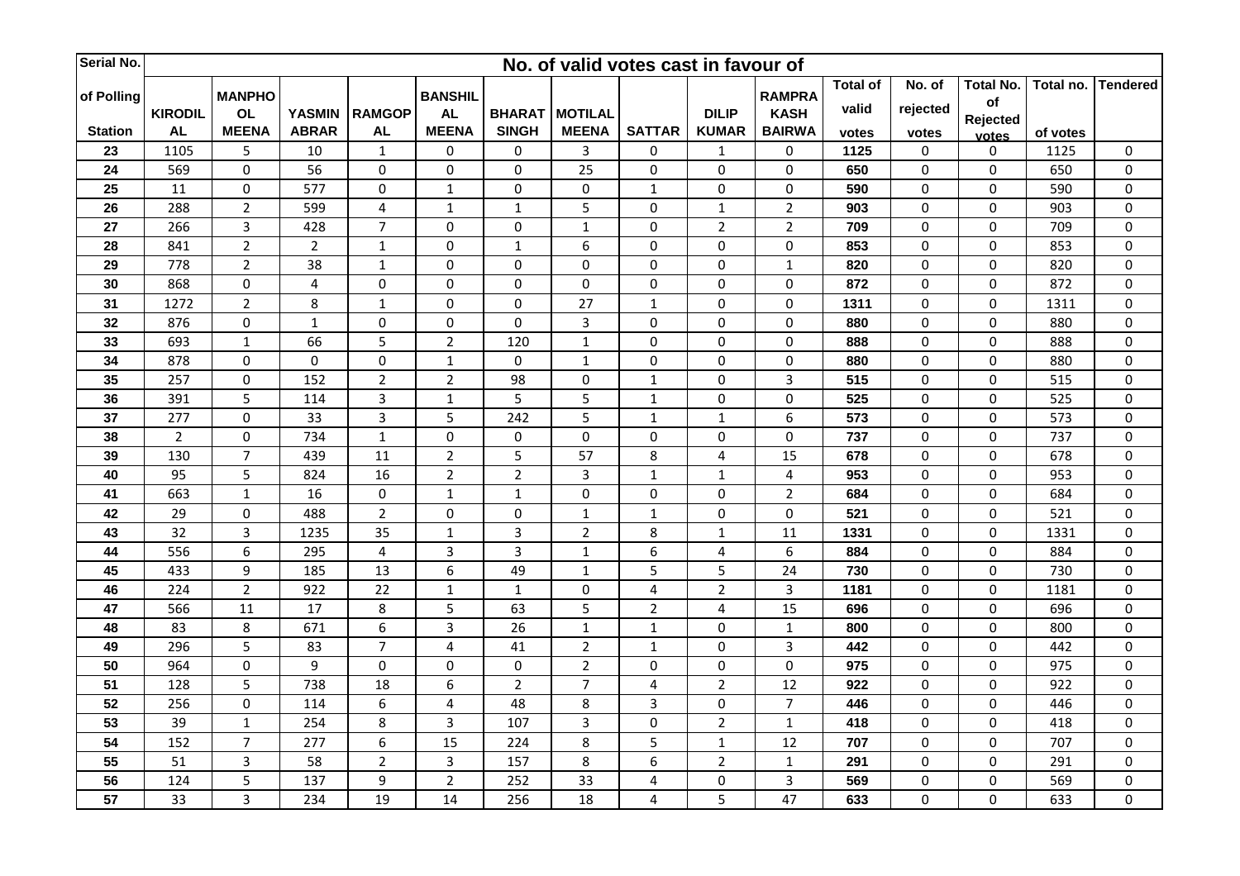| Serial No.      |                 |                |                  |                  |                |                | No. of valid votes cast in favour of |                         |                         |                 |                 |                  |             |           |                  |
|-----------------|-----------------|----------------|------------------|------------------|----------------|----------------|--------------------------------------|-------------------------|-------------------------|-----------------|-----------------|------------------|-------------|-----------|------------------|
|                 |                 | <b>MANPHO</b>  |                  |                  | <b>BANSHIL</b> |                |                                      |                         |                         | <b>RAMPRA</b>   | <b>Total of</b> | No. of           | Total No.   | Total no. | <b>Tendered</b>  |
| of Polling      | <b>KIRODIL</b>  | <b>OL</b>      | <b>YASMIN</b>    | <b>RAMGOP</b>    | <b>AL</b>      | <b>BHARAT</b>  | <b>MOTILAL</b>                       |                         | <b>DILIP</b>            | <b>KASH</b>     | valid           | rejected         | of          |           |                  |
| <b>Station</b>  | <b>AL</b>       | <b>MEENA</b>   | <b>ABRAR</b>     | <b>AL</b>        | <b>MEENA</b>   | <b>SINGH</b>   | <b>MEENA</b>                         | <b>SATTAR</b>           | <b>KUMAR</b>            | <b>BAIRWA</b>   | votes           | votes            | Rejected    | of votes  |                  |
| 23              | 1105            | 5              | 10               | $\mathbf{1}$     | 0              | 0              | $\overline{3}$                       | 0                       | $1\,$                   | $\pmb{0}$       | 1125            | $\pmb{0}$        | votes<br>0  | 1125      | $\pmb{0}$        |
| 24              | 569             | $\pmb{0}$      | 56               | $\mathbf 0$      | $\mathbf 0$    | $\pmb{0}$      | 25                                   | 0                       | $\pmb{0}$               | $\mathbf 0$     | 650             | $\pmb{0}$        | $\mathbf 0$ | 650       | $\pmb{0}$        |
| 25              | 11              | 0              | 577              | $\mathbf 0$      | $\mathbf{1}$   | $\pmb{0}$      | $\pmb{0}$                            | $\mathbf 1$             | 0                       | 0               | 590             | $\boldsymbol{0}$ | 0           | 590       | 0                |
| 26              | 288             | $\overline{2}$ | 599              | $\overline{4}$   | $\mathbf{1}$   | $\mathbf 1$    | 5                                    | $\pmb{0}$               | $\mathbf 1$             | $\overline{2}$  | 903             | $\pmb{0}$        | 0           | 903       | $\pmb{0}$        |
| 27              | 266             | $\mathbf{3}$   | 428              | $\overline{7}$   | 0              | $\pmb{0}$      | $\mathbf 1$                          | 0                       | $\overline{2}$          | $\overline{2}$  | 709             | $\pmb{0}$        | 0           | 709       | $\pmb{0}$        |
| 28              | 841             | $\overline{2}$ | $\overline{2}$   | $\mathbf{1}$     | $\pmb{0}$      | $1\,$          | 6                                    | $\pmb{0}$               | $\pmb{0}$               | $\pmb{0}$       | 853             | $\boldsymbol{0}$ | $\mathbf 0$ | 853       | $\pmb{0}$        |
| 29              | 778             | $\overline{2}$ | 38               | $\mathbf 1$      | 0              | $\pmb{0}$      | $\pmb{0}$                            | 0                       | $\pmb{0}$               | $\mathbf 1$     | 820             | $\pmb{0}$        | 0           | 820       | $\pmb{0}$        |
| 30              | 868             | $\pmb{0}$      | $\overline{4}$   | $\mathbf 0$      | 0              | $\pmb{0}$      | $\pmb{0}$                            | $\pmb{0}$               | $\pmb{0}$               | 0               | 872             | $\pmb{0}$        | $\mathbf 0$ | 872       | 0                |
| 31              | 1272            | $\overline{2}$ | 8                | $\mathbf 1$      | $\pmb{0}$      | $\pmb{0}$      | 27                                   | $\mathbf 1$             | $\pmb{0}$               | $\pmb{0}$       | 1311            | $\pmb{0}$        | 0           | 1311      | $\pmb{0}$        |
| 32              | 876             | $\pmb{0}$      | $\mathbf 1$      | $\mathbf 0$      | $\mathbf 0$    | $\mathbf 0$    | $\overline{3}$                       | $\mathbf 0$             | $\pmb{0}$               | 0               | 880             | $\pmb{0}$        | $\mathbf 0$ | 880       | $\pmb{0}$        |
| 33              | 693             | $\mathbf 1$    | 66               | 5                | $\overline{2}$ | 120            | $\mathbf 1$                          | 0                       | $\pmb{0}$               | 0               | 888             | $\pmb{0}$        | 0           | 888       | $\pmb{0}$        |
| 34              | 878             | $\pmb{0}$      | $\boldsymbol{0}$ | $\pmb{0}$        | $\mathbf 1$    | $\pmb{0}$      | $\mathbf 1$                          | 0                       | $\pmb{0}$               | 0               | 880             | 0                | 0           | 880       | $\pmb{0}$        |
| 35              | 257             | $\pmb{0}$      | 152              | $\overline{2}$   | $\overline{2}$ | 98             | $\pmb{0}$                            | $\mathbf 1$             | $\pmb{0}$               | 3               | 515             | 0                | 0           | 515       | $\pmb{0}$        |
| 36              | 391             | 5              | 114              | $\overline{3}$   | $\mathbf{1}$   | 5              | 5                                    | $\mathbf 1$             | $\pmb{0}$               | 0               | 525             | $\boldsymbol{0}$ | 0           | 525       | $\pmb{0}$        |
| 37              | 277             | $\pmb{0}$      | 33               | $\overline{3}$   | 5              | 242            | 5                                    | $\mathbf 1$             | $\mathbf 1$             | 6               | 573             | $\pmb{0}$        | 0           | 573       | $\pmb{0}$        |
| 38              | $\overline{2}$  | $\pmb{0}$      | 734              | $1\,$            | 0              | 0              | $\pmb{0}$                            | $\pmb{0}$               | $\pmb{0}$               | 0               | 737             | 0                | 0           | 737       | $\pmb{0}$        |
| 39              | 130             | $\overline{7}$ | 439              | 11               | $\overline{2}$ | 5              | 57                                   | 8                       | 4                       | 15              | 678             | $\pmb{0}$        | 0           | 678       | $\pmb{0}$        |
| 40              | 95              | 5              | 824              | 16               | $\overline{2}$ | $\mathbf 2$    | $\overline{3}$                       | $\mathbf 1$             | $1\,$                   | $\overline{4}$  | 953             | $\pmb{0}$        | 0           | 953       | $\pmb{0}$        |
| 41              | 663             | $\mathbf 1$    | 16               | $\mathbf 0$      | $\mathbf{1}$   | $\mathbf 1$    | $\pmb{0}$                            | 0                       | $\pmb{0}$               | $\overline{2}$  | 684             | $\pmb{0}$        | 0           | 684       | $\pmb{0}$        |
| 42              | 29              | $\pmb{0}$      | 488              | $\overline{2}$   | 0              | $\pmb{0}$      | $\mathbf 1$                          | $\mathbf 1$             | $\pmb{0}$               | 0               | 521             | $\pmb{0}$        | 0           | 521       | $\pmb{0}$        |
| 43              | 32              | 3              | 1235             | 35               | $\mathbf 1$    | 3              | $\overline{2}$                       | 8                       | $\mathbf 1$             | 11              | 1331            | $\pmb{0}$        | 0           | 1331      | $\pmb{0}$        |
| 44              | 556             | 6              | 295              | $\overline{4}$   | 3              | $\overline{3}$ | $\mathbf 1$                          | 6                       | 4                       | 6               | 884             | $\pmb{0}$        | 0           | 884       | $\pmb{0}$        |
| 45              | 433             | 9              | 185              | 13               | 6              | 49             | $\mathbf 1$                          | 5                       | 5                       | $\overline{24}$ | 730             | $\pmb{0}$        | 0           | 730       | $\pmb{0}$        |
| 46              | 224             | $\overline{2}$ | 922              | 22               | $\mathbf{1}$   | $\mathbf{1}$   | $\pmb{0}$                            | $\overline{4}$          | $\overline{2}$          | 3               | 1181            | 0                | 0           | 1181      | $\pmb{0}$        |
| 47              | 566             | 11             | 17               | 8                | 5              | 63             | 5                                    | $\overline{2}$          | $\overline{\mathbf{4}}$ | 15              | 696             | $\pmb{0}$        | 0           | 696       | $\boldsymbol{0}$ |
| 48              | 83              | 8              | 671              | $\boldsymbol{6}$ | 3              | 26             | $\mathbf{1}$                         | $\mathbf{1}$            | $\pmb{0}$               | $\mathbf{1}$    | 800             | $\pmb{0}$        | $\mathbf 0$ | 800       | $\pmb{0}$        |
| 49              | 296             | 5              | 83               | $\overline{7}$   | 4              | 41             | $\overline{2}$                       | $\mathbf{1}$            | $\pmb{0}$               | $\overline{3}$  | 442             | $\pmb{0}$        | 0           | 442       | $\pmb{0}$        |
| 50              | 964             | $\pmb{0}$      | 9                | $\mathbf 0$      | 0              | $\mathbf 0$    | $\overline{2}$                       | 0                       | $\pmb{0}$               | 0               | 975             | $\pmb{0}$        | 0           | 975       | $\pmb{0}$        |
| 51              | 128             | 5              | 738              | 18               | 6              | $\overline{2}$ | $\overline{7}$                       | $\overline{\mathbf{4}}$ | $\mathbf 2$             | 12              | 922             | $\pmb{0}$        | 0           | 922       | $\boldsymbol{0}$ |
| 52              | 256             | 0              | 114              | $\boldsymbol{6}$ | 4              | 48             | 8                                    | 3                       | 0                       | $\overline{7}$  | 446             | $\boldsymbol{0}$ | 0           | 446       | $\pmb{0}$        |
| 53              | 39              | $\mathbf{1}$   | 254              | 8                | 3              | 107            | $\overline{3}$                       | 0                       | $\mathbf 2$             | $\mathbf{1}$    | 418             | $\pmb{0}$        | 0           | 418       | $\pmb{0}$        |
| 54              | 152             | $\overline{7}$ | 277              | $\boldsymbol{6}$ | 15             | 224            | $\bf 8$                              | 5                       | $\mathbf 1$             | 12              | 707             | $\boldsymbol{0}$ | 0           | 707       | 0                |
| $\overline{55}$ | $\overline{51}$ | $\overline{3}$ | 58               | $\overline{2}$   | $\overline{3}$ | 157            | $\overline{8}$                       | $\overline{6}$          | $\overline{2}$          | $\mathbf{1}$    | 291             | $\boldsymbol{0}$ | $\mathbf 0$ | 291       | $\boldsymbol{0}$ |
| 56              | 124             | 5              | 137              | $\boldsymbol{9}$ | $\overline{2}$ | 252            | 33                                   | 4                       | $\pmb{0}$               | 3               | 569             | $\pmb{0}$        | 0           | 569       | $\pmb{0}$        |
| 57              | 33              | $\overline{3}$ | 234              | 19               | 14             | 256            | 18                                   | $\overline{\mathbf{4}}$ | 5                       | 47              | 633             | $\pmb{0}$        | 0           | 633       | $\pmb{0}$        |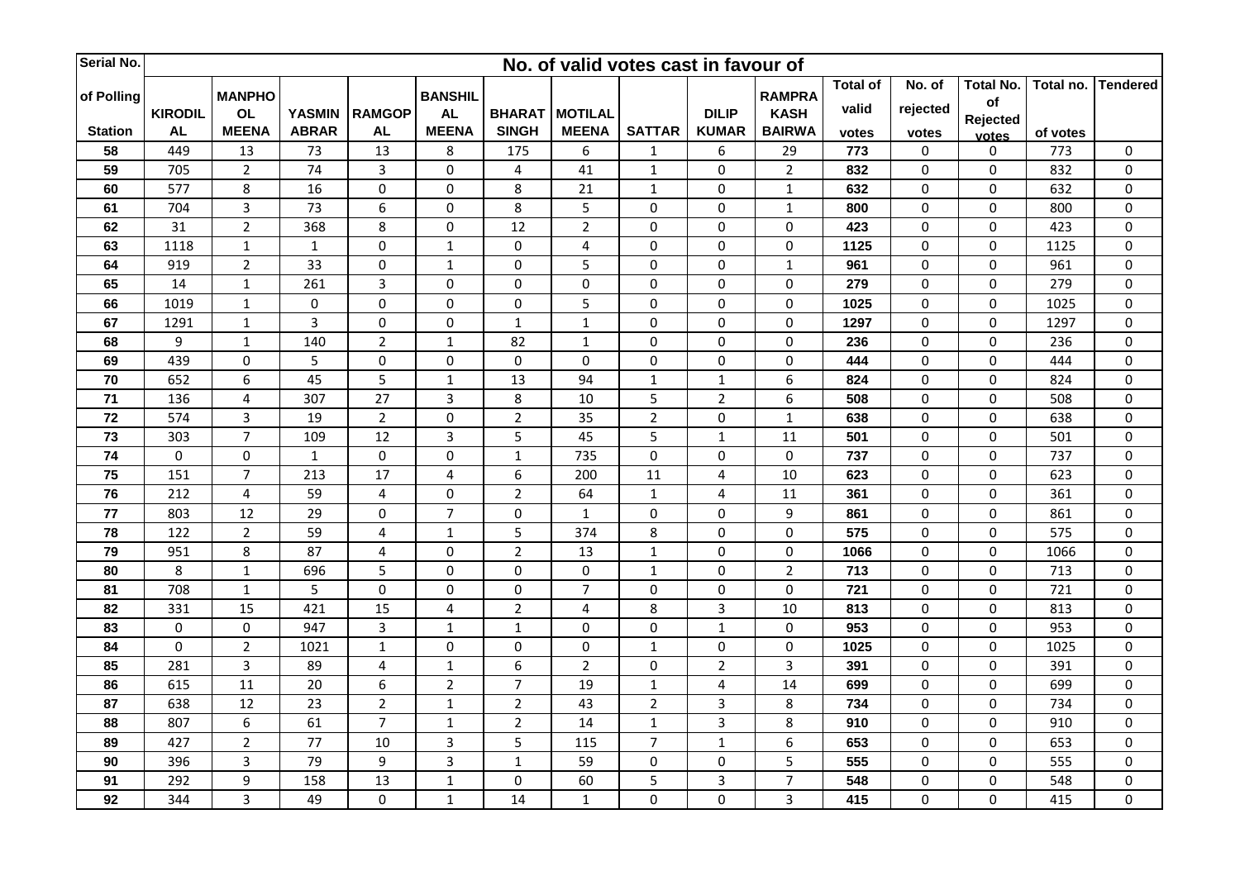| Serial No.     |                |                         |                         |                  |                         |                         | No. of valid votes cast in favour of |                |                         |                  |                 |                  |             |           |                  |
|----------------|----------------|-------------------------|-------------------------|------------------|-------------------------|-------------------------|--------------------------------------|----------------|-------------------------|------------------|-----------------|------------------|-------------|-----------|------------------|
|                |                | <b>MANPHO</b>           |                         |                  | <b>BANSHIL</b>          |                         |                                      |                |                         | <b>RAMPRA</b>    | <b>Total of</b> | No. of           | Total No.   | Total no. | <b>Tendered</b>  |
| of Polling     | <b>KIRODIL</b> | <b>OL</b>               | <b>YASMIN</b>           | <b>RAMGOP</b>    | <b>AL</b>               |                         | <b>BHARAT MOTILAL</b>                |                | <b>DILIP</b>            | <b>KASH</b>      | valid           | rejected         | of          |           |                  |
| <b>Station</b> | <b>AL</b>      | <b>MEENA</b>            | <b>ABRAR</b>            | <b>AL</b>        | <b>MEENA</b>            | <b>SINGH</b>            | <b>MEENA</b>                         | <b>SATTAR</b>  | <b>KUMAR</b>            | <b>BAIRWA</b>    | votes           | votes            | Rejected    | of votes  |                  |
| 58             | 449            | 13                      | 73                      | 13               | 8                       | 175                     | 6                                    | $\mathbf 1$    | 6                       | 29               | 773             | $\pmb{0}$        | votes<br>0  | 773       | $\pmb{0}$        |
| 59             | 705            | $\overline{2}$          | 74                      | $\overline{3}$   | $\mathbf 0$             | $\overline{\mathbf{4}}$ | 41                                   | $\mathbf 1$    | $\pmb{0}$               | $\overline{2}$   | 832             | $\pmb{0}$        | $\mathbf 0$ | 832       | $\pmb{0}$        |
| 60             | 577            | 8                       | 16                      | $\mathbf 0$      | 0                       | $\,8\,$                 | 21                                   | $\mathbf 1$    | 0                       | $\mathbf{1}$     | 632             | $\boldsymbol{0}$ | 0           | 632       | 0                |
| 61             | 704            | $\overline{3}$          | 73                      | $\boldsymbol{6}$ | 0                       | 8                       | 5                                    | $\pmb{0}$      | $\pmb{0}$               | $\mathbf{1}$     | 800             | $\boldsymbol{0}$ | 0           | 800       | $\pmb{0}$        |
| 62             | 31             | $\overline{2}$          | 368                     | $\,8\,$          | 0                       | 12                      | $\overline{2}$                       | 0              | $\pmb{0}$               | 0                | 423             | $\pmb{0}$        | 0           | 423       | $\pmb{0}$        |
| 63             | 1118           | $\mathbf 1$             | $\mathbf{1}$            | $\pmb{0}$        | $\mathbf 1$             | 0                       | $\overline{\mathbf{4}}$              | $\pmb{0}$      | $\pmb{0}$               | $\pmb{0}$        | 1125            | $\boldsymbol{0}$ | $\mathbf 0$ | 1125      | $\pmb{0}$        |
| 64             | 919            | $\overline{2}$          | 33                      | $\pmb{0}$        | $\mathbf 1$             | $\pmb{0}$               | 5                                    | 0              | $\pmb{0}$               | $\mathbf 1$      | 961             | $\pmb{0}$        | 0           | 961       | $\pmb{0}$        |
| 65             | 14             | $\mathbf{1}$            | 261                     | $\overline{3}$   | 0                       | $\pmb{0}$               | $\pmb{0}$                            | $\mathbf 0$    | $\pmb{0}$               | 0                | 279             | $\pmb{0}$        | 0           | 279       | 0                |
| 66             | 1019           | $\mathbf 1$             | $\pmb{0}$               | $\pmb{0}$        | $\pmb{0}$               | $\pmb{0}$               | 5                                    | $\pmb{0}$      | $\pmb{0}$               | $\pmb{0}$        | 1025            | $\pmb{0}$        | 0           | 1025      | $\pmb{0}$        |
| 67             | 1291           | $\mathbf{1}$            | $\overline{\mathbf{3}}$ | $\mathbf 0$      | $\mathbf 0$             | $\mathbf 1$             | $\mathbf{1}$                         | $\mathbf 0$    | $\pmb{0}$               | 0                | 1297            | $\pmb{0}$        | $\mathbf 0$ | 1297      | $\pmb{0}$        |
| 68             | 9              | $\mathbf 1$             | 140                     | $\overline{2}$   | $\mathbf 1$             | 82                      | $\mathbf{1}$                         | 0              | $\pmb{0}$               | 0                | 236             | $\pmb{0}$        | 0           | 236       | $\pmb{0}$        |
| 69             | 439            | $\pmb{0}$               | 5                       | $\pmb{0}$        | 0                       | $\pmb{0}$               | $\pmb{0}$                            | $\pmb{0}$      | $\pmb{0}$               | 0                | 444             | $\pmb{0}$        | 0           | 444       | $\pmb{0}$        |
| 70             | 652            | 6                       | 45                      | 5                | $\mathbf 1$             | 13                      | 94                                   | $\mathbf 1$    | $1\,$                   | 6                | 824             | $\pmb{0}$        | 0           | 824       | $\pmb{0}$        |
| $71$           | 136            | $\overline{4}$          | 307                     | 27               | 3                       | 8                       | 10                                   | 5              | $\mathbf 2$             | 6                | 508             | $\pmb{0}$        | 0           | 508       | $\pmb{0}$        |
| 72             | 574            | $\overline{3}$          | 19                      | $\overline{2}$   | $\mathbf 0$             | $\overline{2}$          | 35                                   | $\mathbf 2$    | $\pmb{0}$               | $\mathbf{1}$     | 638             | $\pmb{0}$        | 0           | 638       | $\pmb{0}$        |
| 73             | 303            | $\overline{7}$          | 109                     | 12               | 3                       | 5                       | 45                                   | 5              | $\mathbf{1}$            | 11               | 501             | 0                | 0           | 501       | $\pmb{0}$        |
| 74             | $\pmb{0}$      | $\pmb{0}$               | $1\,$                   | $\mathbf 0$      | 0                       | $\mathbf 1$             | 735                                  | 0              | $\pmb{0}$               | $\pmb{0}$        | 737             | $\pmb{0}$        | 0           | 737       | $\pmb{0}$        |
| 75             | 151            | $\overline{7}$          | 213                     | 17               | 4                       | 6                       | 200                                  | 11             | $\overline{4}$          | 10               | 623             | $\pmb{0}$        | $\mathbf 0$ | 623       | $\pmb{0}$        |
| 76             | 212            | $\overline{\mathbf{4}}$ | 59                      | $\overline{4}$   | 0                       | $\overline{2}$          | 64                                   | $\mathbf 1$    | $\overline{\mathbf{4}}$ | 11               | 361             | $\pmb{0}$        | 0           | 361       | $\pmb{0}$        |
| 77             | 803            | 12                      | 29                      | 0                | $\overline{7}$          | $\pmb{0}$               | $\mathbf{1}$                         | 0              | 0                       | 9                | 861             | $\pmb{0}$        | 0           | 861       | $\pmb{0}$        |
| 78             | 122            | $\overline{2}$          | 59                      | $\pmb{4}$        | $\mathbf 1$             | 5                       | 374                                  | 8              | $\pmb{0}$               | 0                | 575             | $\pmb{0}$        | 0           | 575       | $\pmb{0}$        |
| 79             | 951            | 8                       | 87                      | $\overline{4}$   | 0                       | $\mathbf 2$             | 13                                   | $\mathbf 1$    | 0                       | $\boldsymbol{0}$ | 1066            | $\pmb{0}$        | 0           | 1066      | $\pmb{0}$        |
| 80             | $\,8\,$        | $\mathbf 1$             | 696                     | 5                | $\mathbf 0$             | $\pmb{0}$               | $\pmb{0}$                            | $\mathbf 1$    | $\pmb{0}$               | $\overline{2}$   | 713             | $\pmb{0}$        | 0           | 713       | $\pmb{0}$        |
| 81             | 708            | $\mathbf 1$             | 5                       | $\mathbf 0$      | 0                       | $\pmb{0}$               | $\overline{7}$                       | 0              | $\pmb{0}$               | $\mathbf 0$      | 721             | 0                | 0           | 721       | $\pmb{0}$        |
| 82             | 331            | 15                      | 421                     | 15               | 4                       | $\overline{2}$          | $\overline{4}$                       | 8              | $\overline{3}$          | 10               | 813             | $\pmb{0}$        | 0           | 813       | $\boldsymbol{0}$ |
| 83             | 0              | $\pmb{0}$               | 947                     | $\overline{3}$   | $\mathbf{1}$            | $\mathbf 1$             | $\mathbf 0$                          | 0              | $\mathbf 1$             | 0                | 953             | $\pmb{0}$        | $\mathbf 0$ | 953       | $\pmb{0}$        |
| 84             | $\mathbf 0$    | $\overline{2}$          | 1021                    | $\mathbf 1$      | $\mathbf 0$             | $\pmb{0}$               | $\pmb{0}$                            | $\mathbf{1}$   | $\pmb{0}$               | 0                | 1025            | $\pmb{0}$        | 0           | 1025      | $\pmb{0}$        |
| 85             | 281            | $\overline{3}$          | 89                      | $\overline{4}$   | $\mathbf{1}$            | 6                       | $\overline{2}$                       | 0              | $\overline{2}$          | 3                | 391             | $\pmb{0}$        | 0           | 391       | $\pmb{0}$        |
| 86             | 615            | 11                      | 20                      | 6                | $\overline{2}$          | $\overline{7}$          | 19                                   | $\mathbf{1}$   | $\pmb{4}$               | 14               | 699             | $\pmb{0}$        | 0           | 699       | $\boldsymbol{0}$ |
| 87             | 638            | 12                      | 23                      | $\overline{2}$   | $\mathbf{1}$            | $\overline{2}$          | 43                                   | $\overline{2}$ | $\overline{3}$          | 8                | 734             | $\boldsymbol{0}$ | 0           | 734       | $\pmb{0}$        |
| 88             | 807            | 6                       | 61                      | $\overline{7}$   | $\mathbf{1}$            | $\mathbf 2$             | 14                                   | $\mathbf 1$    | $\overline{3}$          | 8                | 910             | $\pmb{0}$        | 0           | 910       | $\pmb{0}$        |
| 89             | 427            | $\overline{2}$          | 77                      | 10               | $\overline{\mathbf{3}}$ | 5                       | 115                                  | $\overline{7}$ | $\mathbf 1$             | 6                | 653             | $\boldsymbol{0}$ | 0           | 653       | 0                |
| 90             | 396            | $\overline{3}$          | 79                      | $\boldsymbol{9}$ | $\overline{3}$          | $\mathbf{1}$            | 59                                   | $\pmb{0}$      | $\pmb{0}$               | $\overline{5}$   | 555             | $\boldsymbol{0}$ | $\mathbf 0$ | 555       | $\boldsymbol{0}$ |
| 91             | 292            | 9                       | 158                     | 13               | $\mathbf 1$             | $\pmb{0}$               | 60                                   | 5              | $\mathbf{3}$            | $\overline{7}$   | 548             | $\pmb{0}$        | 0           | 548       | $\pmb{0}$        |
| 92             | 344            | $\overline{3}$          | 49                      | $\pmb{0}$        | $\mathbf{1}$            | 14                      | $\mathbf{1}$                         | 0              | $\pmb{0}$               | $\overline{3}$   | 415             | $\pmb{0}$        | 0           | 415       | $\pmb{0}$        |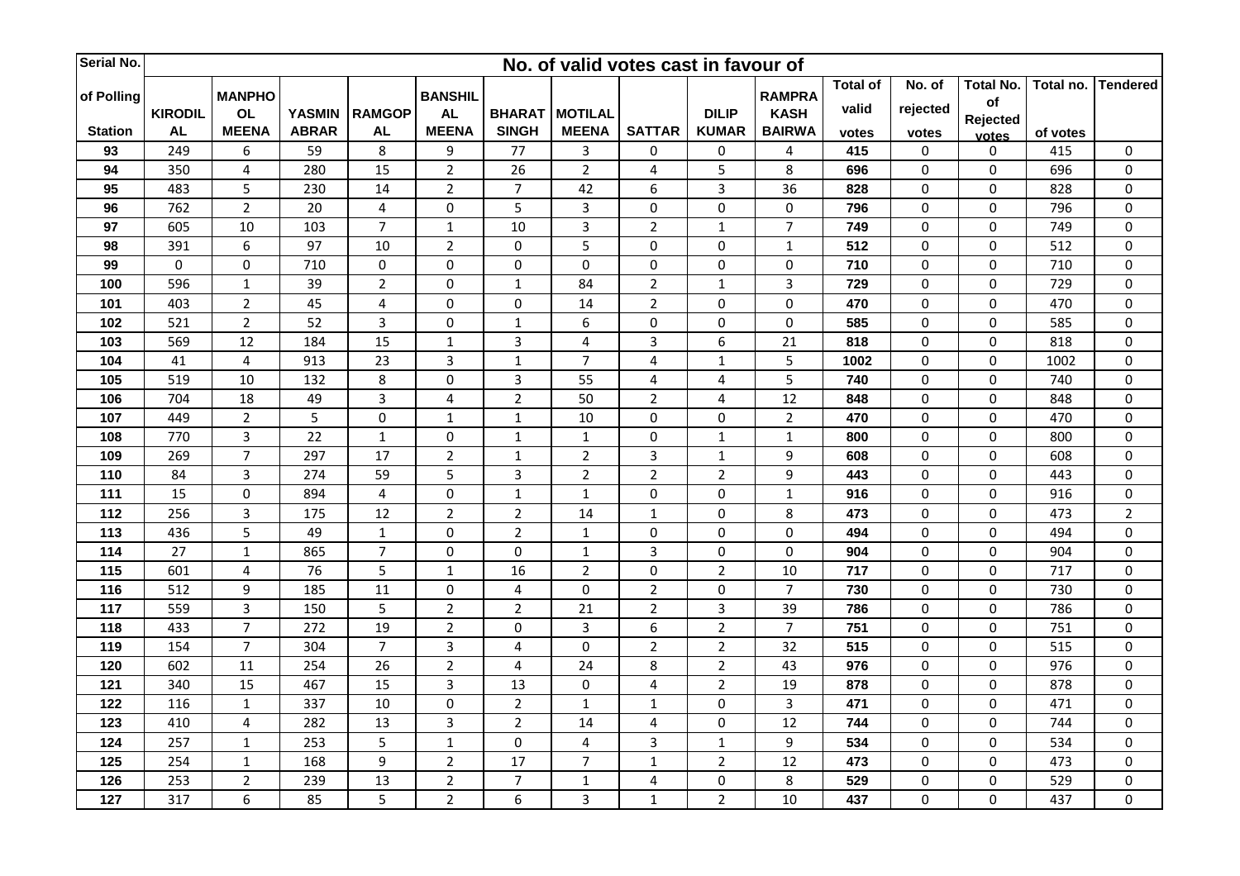| Serial No.     | No. of valid votes cast in favour of |                         |               |                |                         |                         |                         |                         |                         |                 |                 |                  |                  |           |                  |
|----------------|--------------------------------------|-------------------------|---------------|----------------|-------------------------|-------------------------|-------------------------|-------------------------|-------------------------|-----------------|-----------------|------------------|------------------|-----------|------------------|
| of Polling     |                                      | <b>MANPHO</b>           |               |                | <b>BANSHIL</b>          |                         |                         |                         |                         | <b>RAMPRA</b>   | <b>Total of</b> | No. of           | <b>Total No.</b> | Total no. | <b>Tendered</b>  |
|                | <b>KIRODIL</b>                       | <b>OL</b>               | <b>YASMIN</b> | <b>RAMGOP</b>  | <b>AL</b>               | <b>BHARAT</b>           | <b>MOTILAL</b>          |                         | <b>DILIP</b>            | <b>KASH</b>     | valid           | rejected         | of               |           |                  |
| <b>Station</b> | <b>AL</b>                            | <b>MEENA</b>            | <b>ABRAR</b>  | <b>AL</b>      | <b>MEENA</b>            | <b>SINGH</b>            | <b>MEENA</b>            | <b>SATTAR</b>           | <b>KUMAR</b>            | <b>BAIRWA</b>   | votes           | votes            | Rejected         | of votes  |                  |
| 93             | 249                                  | 6                       | 59            | 8              | 9                       | 77                      | $\overline{3}$          | 0                       | $\pmb{0}$               | 4               | 415             | 0                | votes<br>0       | 415       | $\pmb{0}$        |
| 94             | 350                                  | $\overline{4}$          | 280           | 15             | $\overline{2}$          | 26                      | $\overline{2}$          | 4                       | 5                       | 8               | 696             | $\pmb{0}$        | $\mathbf 0$      | 696       | $\pmb{0}$        |
| 95             | 483                                  | 5                       | 230           | 14             | $\overline{2}$          | $\overline{7}$          | 42                      | 6                       | $\mathbf{3}$            | 36              | 828             | $\boldsymbol{0}$ | 0                | 828       | 0                |
| 96             | 762                                  | $\overline{2}$          | 20            | $\overline{4}$ | 0                       | 5                       | $\overline{\mathbf{3}}$ | $\pmb{0}$               | $\pmb{0}$               | 0               | 796             | $\boldsymbol{0}$ | 0                | 796       | $\pmb{0}$        |
| 97             | 605                                  | 10                      | 103           | $\overline{7}$ | $\mathbf{1}$            | 10                      | $\mathbf{3}$            | $\overline{2}$          | $\mathbf 1$             | $\overline{7}$  | 749             | 0                | 0                | 749       | $\pmb{0}$        |
| 98             | 391                                  | 6                       | 97            | 10             | $\overline{2}$          | 0                       | 5                       | $\pmb{0}$               | $\pmb{0}$               | $\mathbf{1}$    | 512             | $\pmb{0}$        | 0                | 512       | $\pmb{0}$        |
| 99             | $\pmb{0}$                            | $\pmb{0}$               | 710           | $\pmb{0}$      | 0                       | $\pmb{0}$               | $\pmb{0}$               | 0                       | $\pmb{0}$               | $\pmb{0}$       | 710             | $\pmb{0}$        | 0                | 710       | $\pmb{0}$        |
| 100            | 596                                  | $\mathbf{1}$            | 39            | $\overline{2}$ | 0                       | $\mathbf{1}$            | 84                      | $\overline{2}$          | $\mathbf{1}$            | 3               | 729             | $\pmb{0}$        | 0                | 729       | 0                |
| 101            | 403                                  | $\overline{2}$          | 45            | $\pmb{4}$      | $\pmb{0}$               | $\pmb{0}$               | 14                      | $\overline{2}$          | $\pmb{0}$               | $\pmb{0}$       | 470             | $\pmb{0}$        | 0                | 470       | $\pmb{0}$        |
| 102            | 521                                  | $\overline{2}$          | 52            | $\overline{3}$ | $\mathbf 0$             | $\mathbf 1$             | 6                       | 0                       | $\pmb{0}$               | 0               | 585             | $\pmb{0}$        | $\mathbf 0$      | 585       | $\pmb{0}$        |
| 103            | 569                                  | 12                      | 184           | 15             | $\mathbf 1$             | 3                       | $\overline{\mathbf{4}}$ | 3                       | $\boldsymbol{6}$        | 21              | 818             | $\pmb{0}$        | 0                | 818       | $\pmb{0}$        |
| 104            | 41                                   | $\overline{4}$          | 913           | 23             | 3                       | $\mathbf 1$             | $\overline{7}$          | $\overline{\mathbf{4}}$ | $1\,$                   | 5               | 1002            | $\boldsymbol{0}$ | 0                | 1002      | $\pmb{0}$        |
| 105            | 519                                  | 10                      | 132           | $\,8\,$        | $\pmb{0}$               | $\overline{3}$          | 55                      | 4                       | $\overline{\mathbf{4}}$ | 5               | 740             | 0                | 0                | 740       | $\pmb{0}$        |
| 106            | 704                                  | 18                      | 49            | $\overline{3}$ | 4                       | $\overline{2}$          | 50                      | $\overline{2}$          | 4                       | 12              | 848             | 0                | 0                | 848       | $\pmb{0}$        |
| 107            | 449                                  | $\overline{2}$          | 5             | $\pmb{0}$      | $\mathbf 1$             | $\mathbf 1$             | 10                      | $\pmb{0}$               | $\pmb{0}$               | $\overline{2}$  | 470             | $\pmb{0}$        | 0                | 470       | $\pmb{0}$        |
| 108            | 770                                  | $\overline{3}$          | 22            | $1\,$          | 0                       | $\mathbf 1$             | $\mathbf{1}$            | $\mathbf 0$             | $\mathbf{1}$            | $\mathbf{1}$    | 800             | 0                | 0                | 800       | $\pmb{0}$        |
| 109            | 269                                  | $\overline{7}$          | 297           | 17             | $\overline{2}$          | $\mathbf 1$             | $\overline{2}$          | 3                       | $1\,$                   | 9               | 608             | 0                | 0                | 608       | $\pmb{0}$        |
| 110            | 84                                   | $\overline{3}$          | 274           | 59             | 5                       | 3                       | $\overline{2}$          | $\overline{2}$          | $\overline{2}$          | 9               | 443             | $\pmb{0}$        | 0                | 443       | $\pmb{0}$        |
| 111            | 15                                   | $\pmb{0}$               | 894           | $\overline{4}$ | 0                       | $\mathbf 1$             | $\mathbf{1}$            | 0                       | $\pmb{0}$               | $\mathbf{1}$    | 916             | $\boldsymbol{0}$ | 0                | 916       | $\pmb{0}$        |
| 112            | 256                                  | $\overline{3}$          | 175           | 12             | $\overline{2}$          | $\overline{2}$          | 14                      | $\mathbf{1}$            | 0                       | 8               | 473             | $\pmb{0}$        | 0                | 473       | $\overline{2}$   |
| 113            | 436                                  | 5                       | 49            | $1\,$          | $\pmb{0}$               | $\overline{2}$          | $\mathbf 1$             | $\pmb{0}$               | $\pmb{0}$               | $\pmb{0}$       | 494             | $\pmb{0}$        | 0                | 494       | $\pmb{0}$        |
| 114            | 27                                   | $\mathbf{1}$            | 865           | $\overline{7}$ | $\pmb{0}$               | 0                       | $\mathbf{1}$            | 3                       | 0                       | $\mathbf 0$     | 904             | 0                | 0                | 904       | $\pmb{0}$        |
| 115            | 601                                  | $\overline{\mathbf{4}}$ | 76            | 5              | $\mathbf 1$             | 16                      | $\overline{2}$          | $\pmb{0}$               | $\mathbf 2$             | 10              | 717             | $\pmb{0}$        | 0                | 717       | $\pmb{0}$        |
| 116            | 512                                  | 9                       | 185           | 11             | 0                       | 4                       | $\pmb{0}$               | $\overline{2}$          | $\pmb{0}$               | $\overline{7}$  | 730             | 0                | 0                | 730       | $\pmb{0}$        |
| 117            | 559                                  | $\overline{3}$          | 150           | 5              | $\overline{2}$          | $\overline{2}$          | 21                      | $\overline{2}$          | $\overline{3}$          | 39              | 786             | $\pmb{0}$        | 0                | 786       | $\boldsymbol{0}$ |
| 118            | 433                                  | $\overline{7}$          | 272           | 19             | $\overline{2}$          | $\mathbf 0$             | 3                       | 6                       | $\mathbf 2$             | $\overline{7}$  | 751             | $\pmb{0}$        | 0                | 751       | $\pmb{0}$        |
| 119            | 154                                  | $\overline{7}$          | 304           | $\overline{7}$ | $\overline{\mathbf{3}}$ | $\overline{\mathbf{4}}$ | $\pmb{0}$               | $\overline{2}$          | $\mathbf 2$             | 32              | 515             | $\pmb{0}$        | 0                | 515       | $\pmb{0}$        |
| 120            | 602                                  | 11                      | 254           | 26             | $\overline{2}$          | $\overline{4}$          | 24                      | 8                       | $\overline{2}$          | 43              | 976             | $\pmb{0}$        | 0                | 976       | $\pmb{0}$        |
| 121            | 340                                  | 15                      | 467           | 15             | 3                       | 13                      | $\pmb{0}$               | $\overline{\mathbf{4}}$ | $\overline{2}$          | 19              | 878             | $\pmb{0}$        | 0                | 878       | $\boldsymbol{0}$ |
| 122            | 116                                  | $\mathbf{1}$            | 337           | 10             | 0                       | $\overline{2}$          | $\mathbf{1}$            | $\mathbf{1}$            | 0                       | 3               | 471             | $\pmb{0}$        | 0                | 471       | $\pmb{0}$        |
| 123            | 410                                  | $\overline{4}$          | 282           | 13             | 3                       | $\overline{2}$          | 14                      | 4                       | $\pmb{0}$               | 12              | 744             | $\pmb{0}$        | 0                | 744       | $\pmb{0}$        |
| 124            | 257                                  | $\mathbf 1$             | 253           | 5              | $\mathbf 1$             | $\pmb{0}$               | $\overline{\mathbf{4}}$ | 3                       | $\mathbf 1$             | 9               | 534             | $\boldsymbol{0}$ | 0                | 534       | 0                |
| 125            | 254                                  | $\mathbf{1}$            | 168           | $\overline{9}$ | $\overline{2}$          | $\overline{17}$         | $\overline{7}$          | $\mathbf{1}$            | $\overline{2}$          | $\overline{12}$ | 473             | $\boldsymbol{0}$ | 0                | 473       | $\boldsymbol{0}$ |
| 126            | 253                                  | $\overline{2}$          | 239           | 13             | $\overline{a}$          | $\overline{7}$          | $\mathbf 1$             | 4                       | $\pmb{0}$               | 8               | 529             | 0                | 0                | 529       | 0                |
| 127            | 317                                  | 6                       | 85            | 5              | $\overline{2}$          | 6                       | $\overline{3}$          | $\mathbf{1}$            | $\overline{2}$          | 10              | 437             | $\pmb{0}$        | 0                | 437       | $\pmb{0}$        |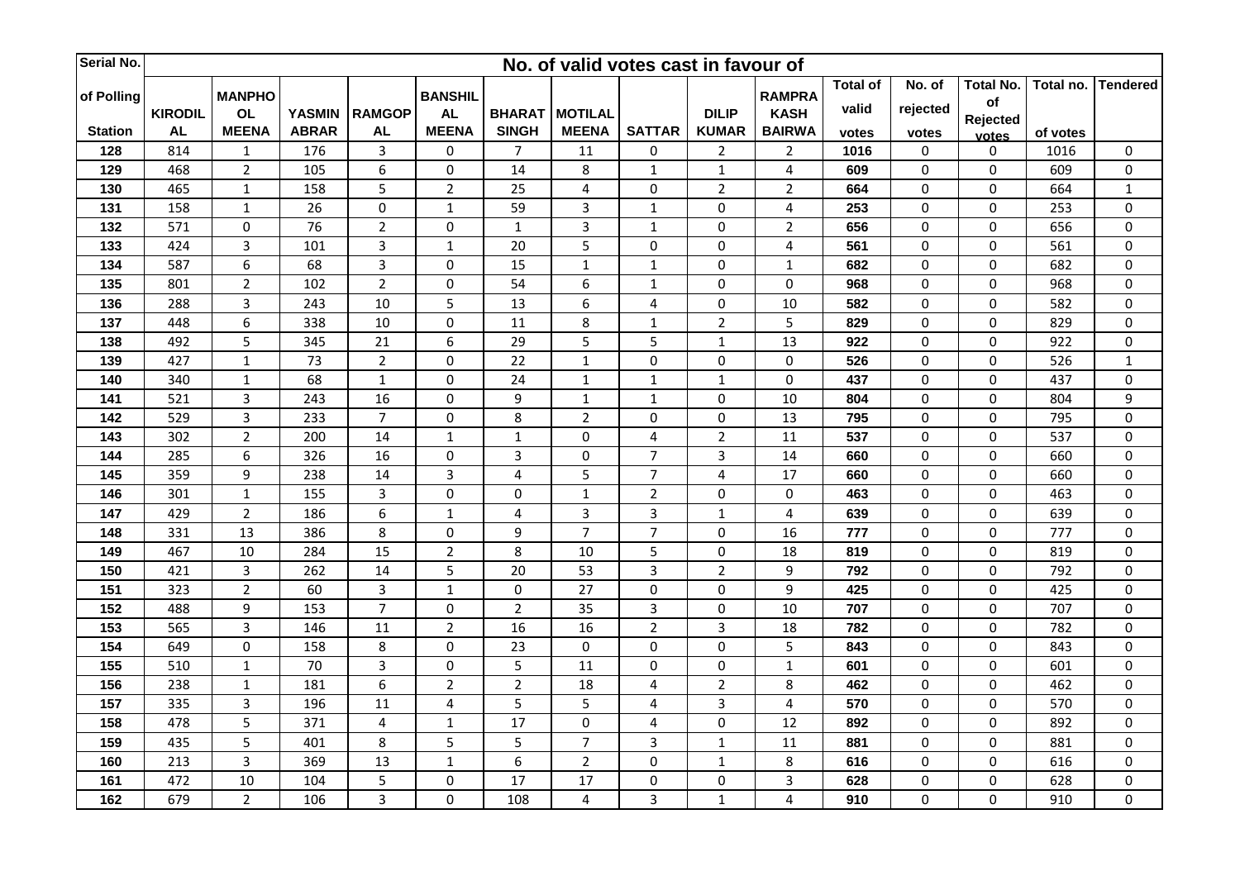| Serial No.     | No. of valid votes cast in favour of |                |               |                         |                |                 |                         |                |                |                              |                 |                  |                  |           |                  |
|----------------|--------------------------------------|----------------|---------------|-------------------------|----------------|-----------------|-------------------------|----------------|----------------|------------------------------|-----------------|------------------|------------------|-----------|------------------|
|                |                                      | <b>MANPHO</b>  |               |                         | <b>BANSHIL</b> |                 |                         |                |                |                              | <b>Total of</b> | No. of           | <b>Total No.</b> | Total no. | <b>Tendered</b>  |
| of Polling     | <b>KIRODIL</b>                       | <b>OL</b>      | <b>YASMIN</b> | <b>RAMGOP</b>           | <b>AL</b>      | <b>BHARAT</b>   | <b>MOTILAL</b>          |                | <b>DILIP</b>   | <b>RAMPRA</b><br><b>KASH</b> | valid           | rejected         | of               |           |                  |
| <b>Station</b> | <b>AL</b>                            | <b>MEENA</b>   | <b>ABRAR</b>  | <b>AL</b>               | <b>MEENA</b>   | <b>SINGH</b>    | <b>MEENA</b>            | <b>SATTAR</b>  | <b>KUMAR</b>   | <b>BAIRWA</b>                | votes           | votes            | Rejected         | of votes  |                  |
| 128            | 814                                  | $\mathbf{1}$   | 176           | $\overline{3}$          | 0              | $\overline{7}$  | 11                      | 0              | $\mathbf 2$    | $\overline{2}$               | 1016            | 0                | votes<br>0       | 1016      | $\pmb{0}$        |
| 129            | 468                                  | $\overline{2}$ | 105           | 6                       | $\pmb{0}$      | 14              | 8                       | $\mathbf 1$    | $\mathbf 1$    | $\overline{\mathbf{4}}$      | 609             | $\pmb{0}$        | $\mathbf 0$      | 609       | $\pmb{0}$        |
| 130            | 465                                  | $\mathbf{1}$   | 158           | 5                       | $\overline{2}$ | 25              | $\overline{4}$          | 0              | $\overline{2}$ | $\overline{2}$               | 664             | 0                | 0                | 664       | $\mathbf 1$      |
| 131            | 158                                  | $\mathbf 1$    | 26            | $\pmb{0}$               | $\mathbf{1}$   | 59              | $\overline{3}$          | $\mathbf{1}$   | $\pmb{0}$      | $\overline{\mathbf{4}}$      | 253             | $\boldsymbol{0}$ | 0                | 253       | $\pmb{0}$        |
| 132            | 571                                  | 0              | 76            | $\overline{2}$          | 0              | $1\,$           | $\mathbf{3}$            | $\mathbf 1$    | $\pmb{0}$      | $\overline{2}$               | 656             | 0                | 0                | 656       | $\pmb{0}$        |
| 133            | 424                                  | $\overline{3}$ | 101           | $\overline{3}$          | $\mathbf{1}$   | 20              | 5                       | $\pmb{0}$      | $\pmb{0}$      | $\overline{\mathbf{4}}$      | 561             | $\pmb{0}$        | 0                | 561       | $\pmb{0}$        |
| 134            | 587                                  | 6              | 68            | 3                       | 0              | 15              | $\mathbf 1$             | $\mathbf 1$    | $\pmb{0}$      | $\mathbf 1$                  | 682             | $\pmb{0}$        | 0                | 682       | $\pmb{0}$        |
| 135            | 801                                  | $\overline{2}$ | 102           | $\overline{2}$          | 0              | 54              | 6                       | $\mathbf{1}$   | $\pmb{0}$      | 0                            | 968             | $\boldsymbol{0}$ | 0                | 968       | 0                |
| 136            | 288                                  | 3              | 243           | 10                      | 5              | 13              | $\boldsymbol{6}$        | 4              | $\pmb{0}$      | 10                           | 582             | $\pmb{0}$        | 0                | 582       | $\pmb{0}$        |
| 137            | 448                                  | 6              | 338           | 10                      | 0              | 11              | 8                       | $\mathbf 1$    | $\overline{2}$ | 5                            | 829             | $\pmb{0}$        | $\mathbf 0$      | 829       | $\pmb{0}$        |
| 138            | 492                                  | 5              | 345           | 21                      | 6              | 29              | 5                       | 5              | $1\,$          | 13                           | 922             | $\pmb{0}$        | 0                | 922       | $\pmb{0}$        |
| 139            | 427                                  | $\mathbf 1$    | 73            | $\overline{2}$          | 0              | 22              | $\mathbf 1$             | $\pmb{0}$      | $\pmb{0}$      | 0                            | 526             | 0                | 0                | 526       | $\mathbf 1$      |
| 140            | 340                                  | $\mathbf{1}$   | 68            | $1\,$                   | 0              | 24              | $\mathbf 1$             | $\mathbf 1$    | $1\,$          | $\pmb{0}$                    | 437             | 0                | 0                | 437       | $\pmb{0}$        |
| 141            | 521                                  | $\overline{3}$ | 243           | 16                      | 0              | 9               | $\mathbf{1}$            | $\mathbf 1$    | 0              | 10                           | 804             | $\pmb{0}$        | 0                | 804       | $\boldsymbol{9}$ |
| 142            | 529                                  | $\overline{3}$ | 233           | $\overline{7}$          | $\pmb{0}$      | $\,8\,$         | $\overline{2}$          | $\pmb{0}$      | $\pmb{0}$      | 13                           | 795             | $\pmb{0}$        | 0                | 795       | $\pmb{0}$        |
| 143            | 302                                  | $\overline{2}$ | 200           | 14                      | $\mathbf{1}$   | $\mathbf{1}$    | $\pmb{0}$               | 4              | $\overline{2}$ | 11                           | 537             | 0                | 0                | 537       | $\pmb{0}$        |
| 144            | 285                                  | 6              | 326           | 16                      | $\pmb{0}$      | 3               | $\pmb{0}$               | $\overline{7}$ | 3              | 14                           | 660             | 0                | 0                | 660       | $\pmb{0}$        |
| 145            | 359                                  | 9              | 238           | 14                      | 3              | $\overline{4}$  | 5                       | $\overline{7}$ | $\overline{4}$ | 17                           | 660             | $\pmb{0}$        | 0                | 660       | $\pmb{0}$        |
| 146            | 301                                  | $\mathbf 1$    | 155           | $\overline{3}$          | 0              | $\pmb{0}$       | $\mathbf{1}$            | $\overline{2}$ | $\pmb{0}$      | $\pmb{0}$                    | 463             | $\pmb{0}$        | 0                | 463       | $\pmb{0}$        |
| 147            | 429                                  | $\overline{2}$ | 186           | $\boldsymbol{6}$        | $\mathbf{1}$   | 4               | $\overline{3}$          | 3              | $\mathbf{1}$   | $\overline{4}$               | 639             | $\pmb{0}$        | 0                | 639       | $\pmb{0}$        |
| 148            | 331                                  | 13             | 386           | 8                       | 0              | 9               | $\overline{7}$          | $\overline{7}$ | $\pmb{0}$      | 16                           | 777             | $\pmb{0}$        | 0                | 777       | $\pmb{0}$        |
| 149            | 467                                  | 10             | 284           | 15                      | $\overline{2}$ | 8               | 10                      | 5              | 0              | 18                           | 819             | 0                | 0                | 819       | $\pmb{0}$        |
| 150            | 421                                  | $\overline{3}$ | 262           | 14                      | 5              | 20              | 53                      | 3              | $\mathbf 2$    | 9                            | 792             | $\pmb{0}$        | 0                | 792       | $\pmb{0}$        |
| 151            | 323                                  | $\overline{2}$ | 60            | 3                       | $\mathbf{1}$   | $\pmb{0}$       | 27                      | 0              | $\pmb{0}$      | 9                            | 425             | 0                | 0                | 425       | $\pmb{0}$        |
| 152            | 488                                  | 9              | 153           | $\overline{7}$          | $\pmb{0}$      | $\overline{2}$  | 35                      | 3              | $\pmb{0}$      | 10                           | 707             | $\boldsymbol{0}$ | 0                | 707       | $\boldsymbol{0}$ |
| 153            | 565                                  | $\overline{3}$ | 146           | 11                      | $\overline{2}$ | $\overline{16}$ | 16                      | $\overline{2}$ | $\overline{3}$ | 18                           | 782             | $\pmb{0}$        | 0                | 782       | $\pmb{0}$        |
| 154            | 649                                  | $\pmb{0}$      | 158           | 8                       | $\mathbf 0$    | 23              | $\pmb{0}$               | 0              | $\pmb{0}$      | 5                            | 843             | $\pmb{0}$        | 0                | 843       | $\pmb{0}$        |
| 155            | 510                                  | $\mathbf 1$    | 70            | 3                       | 0              | 5               | 11                      | 0              | $\pmb{0}$      | $\mathbf{1}$                 | 601             | $\pmb{0}$        | 0                | 601       | $\pmb{0}$        |
| 156            | 238                                  | $\mathbf 1$    | 181           | 6                       | $\overline{2}$ | $\overline{2}$  | 18                      | 4              | $\mathbf 2$    | 8                            | 462             | $\pmb{0}$        | 0                | 462       | $\boldsymbol{0}$ |
| 157            | 335                                  | $\overline{3}$ | 196           | 11                      | 4              | 5               | 5                       | 4              | $\overline{3}$ | 4                            | 570             | $\pmb{0}$        | 0                | 570       | $\pmb{0}$        |
| 158            | 478                                  | 5              | 371           | $\overline{\mathbf{4}}$ | $\mathbf{1}$   | 17              | $\pmb{0}$               | 4              | $\pmb{0}$      | 12                           | 892             | $\pmb{0}$        | 0                | 892       | $\pmb{0}$        |
| 159            | 435                                  | 5              | 401           | $\,8\,$                 | 5              | 5               | $\overline{7}$          | 3              | $\mathbf 1$    | 11                           | 881             | $\boldsymbol{0}$ | 0                | 881       | 0                |
| 160            | 213                                  | $\overline{3}$ | 369           | $\overline{13}$         | $\mathbf{1}$   | $\overline{6}$  | $\overline{2}$          | $\pmb{0}$      | $\mathbf{1}$   | 8                            | 616             | $\boldsymbol{0}$ | 0                | 616       | $\boldsymbol{0}$ |
| 161            | 472                                  | 10             | 104           | 5                       | $\pmb{0}$      | 17              | 17                      | 0              | $\pmb{0}$      | 3                            | 628             | 0                | 0                | 628       | $\pmb{0}$        |
| 162            | 679                                  | $\overline{2}$ | 106           | $\overline{3}$          | $\mathbf 0$    | 108             | $\overline{\mathbf{4}}$ | 3              | $\mathbf 1$    | $\overline{4}$               | 910             | $\pmb{0}$        | 0                | 910       | $\pmb{0}$        |